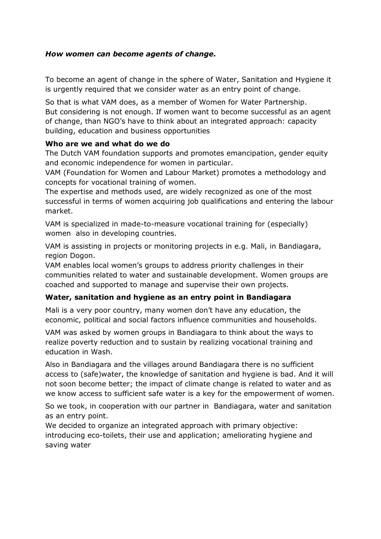## *How women can become agents of change.*

To become an agent of change in the sphere of Water, Sanitation and Hygiene it is urgently required that we consider water as an entry point of change.

So that is what VAM does, as a member of Women for Water Partnership. But considering is not enough. If women want to become successful as an agent of change, than NGO's have to think about an integrated approach: capacity building, education and business opportunities

### **Who are we and what do we do**

The Dutch VAM foundation supports and promotes emancipation, gender equity and economic independence for women in particular.

VAM (Foundation for Women and Labour Market) promotes a methodology and concepts for vocational training of women.

The expertise and methods used, are widely recognized as one of the most successful in terms of women acquiring job qualifications and entering the labour market.

VAM is specialized in made-to-measure vocational training for (especially) women also in developing countries.

VAM is assisting in projects or monitoring projects in e.g. Mali, in Bandiagara, region Dogon.

VAM enables local women's groups to address priority challenges in their communities related to water and sustainable development. Women groups are coached and supported to manage and supervise their own projects.

# **Water, sanitation and hygiene as an entry point in Bandiagara**

Mali is a very poor country, many women don't have any education, the economic, political and social factors influence communities and households.

VAM was asked by women groups in Bandiagara to think about the ways to realize poverty reduction and to sustain by realizing vocational training and education in Wash.

Also in Bandiagara and the villages around Bandiagara there is no sufficient access to (safe)water, the knowledge of sanitation and hygiene is bad. And it will not soon become better; the impact of climate change is related to water and as we know access to sufficient safe water is a key for the empowerment of women.

So we took, in cooperation with our partner in Bandiagara, water and sanitation as an entry point.

We decided to organize an integrated approach with primary objective: introducing eco-toilets, their use and application; ameliorating hygiene and saving water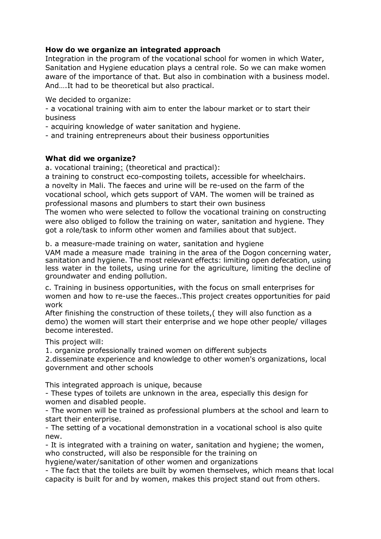## **How do we organize an integrated approach**

Integration in the program of the vocational school for women in which Water, Sanitation and Hygiene education plays a central role. So we can make women aware of the importance of that. But also in combination with a business model. And….It had to be theoretical but also practical.

We decided to organize:

- a vocational training with aim to enter the labour market or to start their business

- acquiring knowledge of water sanitation and hygiene.

- and training entrepreneurs about their business opportunities

### **What did we organize?**

a. vocational training: (theoretical and practical):

a training to construct eco-composting toilets, accessible for wheelchairs. a novelty in Mali. The faeces and urine will be re-used on the farm of the vocational school, which gets support of VAM. The women will be trained as professional masons and plumbers to start their own business

The women who were selected to follow the vocational training on constructing were also obliged to follow the training on water, sanitation and hygiene. They got a role/task to inform other women and families about that subject.

b. a measure-made training on water, sanitation and hygiene

VAM made a measure made training in the area of the Dogon concerning water, sanitation and hygiene. The most relevant effects: limiting open defecation, using less water in the toilets, using urine for the agriculture, limiting the decline of groundwater and ending pollution.

c. Training in business opportunities, with the focus on small enterprises for women and how to re-use the faeces..This project creates opportunities for paid work

After finishing the construction of these toilets,( they will also function as a demo) the women will start their enterprise and we hope other people/ villages become interested.

This project will:

1. organize professionally trained women on different subjects

2.disseminate experience and knowledge to other women's organizations, local government and other schools

This integrated approach is unique, because

- These types of toilets are unknown in the area, especially this design for women and disabled people.

- The women will be trained as professional plumbers at the school and learn to start their enterprise.

- The setting of a vocational demonstration in a vocational school is also quite new.

- It is integrated with a training on water, sanitation and hygiene; the women, who constructed, will also be responsible for the training on

hygiene/water/sanitation of other women and organizations

- The fact that the toilets are built by women themselves, which means that local capacity is built for and by women, makes this project stand out from others.